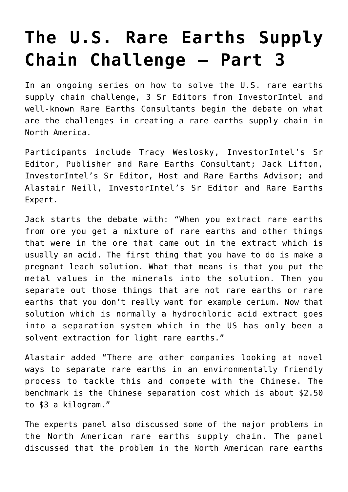## **[The U.S. Rare Earths Supply](https://investorintel.com/investorintel-video/the-u-s-rare-earths-supply-chain-challenge-part-3/) [Chain Challenge – Part 3](https://investorintel.com/investorintel-video/the-u-s-rare-earths-supply-chain-challenge-part-3/)**

In an ongoing series on how to solve the U.S. rare earths supply chain challenge, 3 Sr Editors from InvestorIntel and well-known Rare Earths Consultants begin the debate on what are the challenges in creating a rare earths supply chain in North America.

Participants include Tracy Weslosky, InvestorIntel's Sr Editor, Publisher and Rare Earths Consultant; Jack Lifton, InvestorIntel's Sr Editor, Host and Rare Earths Advisor; and Alastair Neill, InvestorIntel's Sr Editor and Rare Earths Expert.

Jack starts the debate with: "When you extract rare earths from ore you get a mixture of rare earths and other things that were in the ore that came out in the extract which is usually an acid. The first thing that you have to do is make a pregnant leach solution. What that means is that you put the metal values in the minerals into the solution. Then you separate out those things that are not rare earths or rare earths that you don't really want for example cerium. Now that solution which is normally a hydrochloric acid extract goes into a separation system which in the US has only been a solvent extraction for light rare earths."

Alastair added "There are other companies looking at novel ways to separate rare earths in an environmentally friendly process to tackle this and compete with the Chinese. The benchmark is the Chinese separation cost which is about \$2.50 to \$3 a kilogram."

The experts panel also discussed some of the major problems in the North American rare earths supply chain. The panel discussed that the problem in the North American rare earths